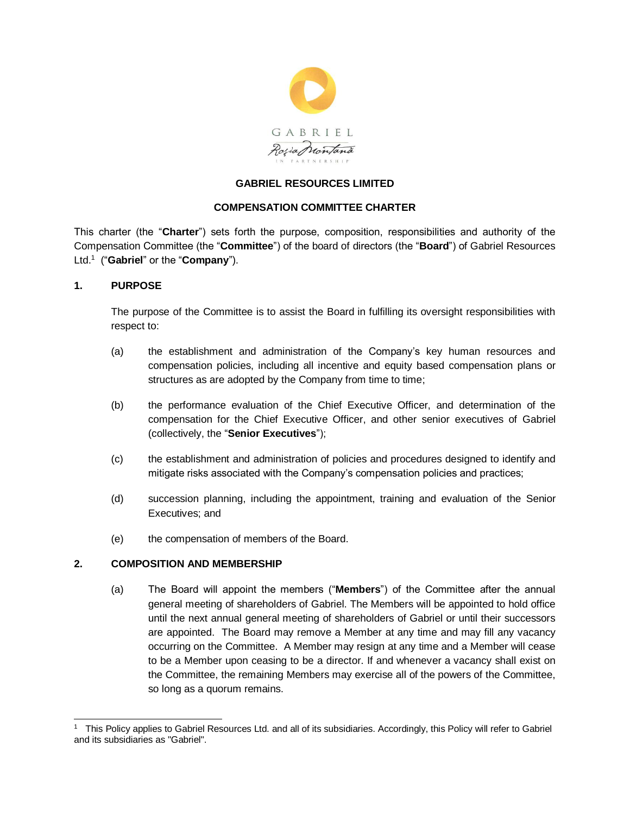

# **GABRIEL RESOURCES LIMITED**

## **COMPENSATION COMMITTEE CHARTER**

This charter (the "**Charter**") sets forth the purpose, composition, responsibilities and authority of the Compensation Committee (the "**Committee**") of the board of directors (the "**Board**") of Gabriel Resources Ltd.<sup>1</sup> ("**Gabriel**" or the "**Company**").

# **1. PURPOSE**

The purpose of the Committee is to assist the Board in fulfilling its oversight responsibilities with respect to:

- (a) the establishment and administration of the Company's key human resources and compensation policies, including all incentive and equity based compensation plans or structures as are adopted by the Company from time to time;
- (b) the performance evaluation of the Chief Executive Officer, and determination of the compensation for the Chief Executive Officer, and other senior executives of Gabriel (collectively, the "**Senior Executives**");
- (c) the establishment and administration of policies and procedures designed to identify and mitigate risks associated with the Company's compensation policies and practices;
- (d) succession planning, including the appointment, training and evaluation of the Senior Executives; and
- (e) the compensation of members of the Board.

## **2. COMPOSITION AND MEMBERSHIP**

(a) The Board will appoint the members ("**Members**") of the Committee after the annual general meeting of shareholders of Gabriel. The Members will be appointed to hold office until the next annual general meeting of shareholders of Gabriel or until their successors are appointed. The Board may remove a Member at any time and may fill any vacancy occurring on the Committee. A Member may resign at any time and a Member will cease to be a Member upon ceasing to be a director. If and whenever a vacancy shall exist on the Committee, the remaining Members may exercise all of the powers of the Committee, so long as a quorum remains.

 $\overline{a}$ 1 This Policy applies to Gabriel Resources Ltd. and all of its subsidiaries. Accordingly, this Policy will refer to Gabriel and its subsidiaries as "Gabriel".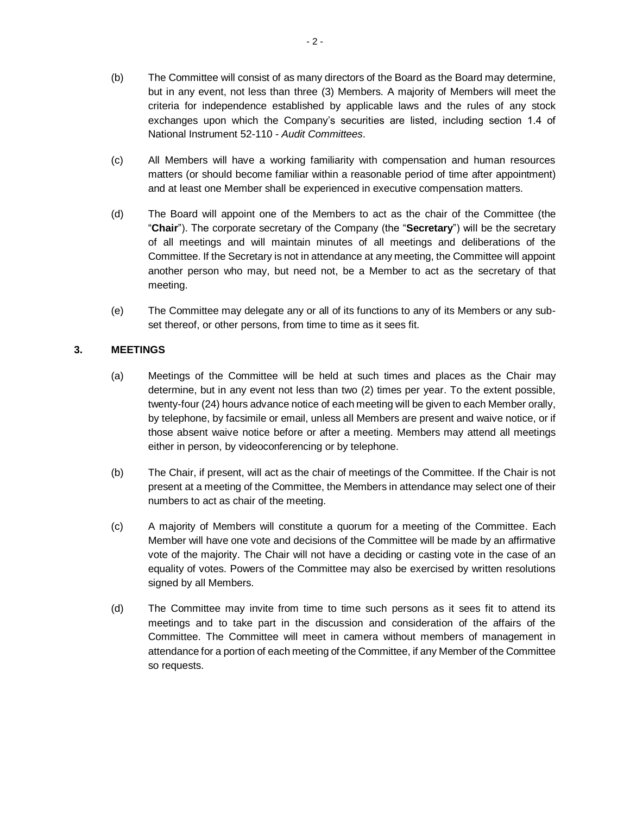- (b) The Committee will consist of as many directors of the Board as the Board may determine, but in any event, not less than three (3) Members. A majority of Members will meet the criteria for independence established by applicable laws and the rules of any stock exchanges upon which the Company's securities are listed, including section 1.4 of National Instrument 52-110 - *Audit Committees*.
- (c) All Members will have a working familiarity with compensation and human resources matters (or should become familiar within a reasonable period of time after appointment) and at least one Member shall be experienced in executive compensation matters.
- (d) The Board will appoint one of the Members to act as the chair of the Committee (the "**Chair**"). The corporate secretary of the Company (the "**Secretary**") will be the secretary of all meetings and will maintain minutes of all meetings and deliberations of the Committee. If the Secretary is not in attendance at any meeting, the Committee will appoint another person who may, but need not, be a Member to act as the secretary of that meeting.
- (e) The Committee may delegate any or all of its functions to any of its Members or any subset thereof, or other persons, from time to time as it sees fit.

## **3. MEETINGS**

- (a) Meetings of the Committee will be held at such times and places as the Chair may determine, but in any event not less than two (2) times per year. To the extent possible, twenty-four (24) hours advance notice of each meeting will be given to each Member orally, by telephone, by facsimile or email, unless all Members are present and waive notice, or if those absent waive notice before or after a meeting. Members may attend all meetings either in person, by videoconferencing or by telephone.
- (b) The Chair, if present, will act as the chair of meetings of the Committee. If the Chair is not present at a meeting of the Committee, the Members in attendance may select one of their numbers to act as chair of the meeting.
- (c) A majority of Members will constitute a quorum for a meeting of the Committee. Each Member will have one vote and decisions of the Committee will be made by an affirmative vote of the majority. The Chair will not have a deciding or casting vote in the case of an equality of votes. Powers of the Committee may also be exercised by written resolutions signed by all Members.
- (d) The Committee may invite from time to time such persons as it sees fit to attend its meetings and to take part in the discussion and consideration of the affairs of the Committee. The Committee will meet in camera without members of management in attendance for a portion of each meeting of the Committee, if any Member of the Committee so requests.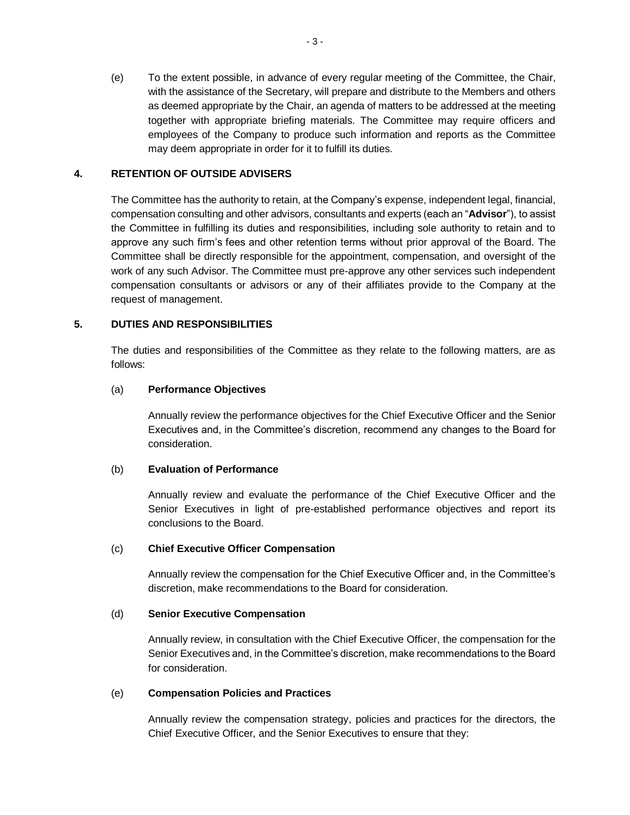(e) To the extent possible, in advance of every regular meeting of the Committee, the Chair, with the assistance of the Secretary, will prepare and distribute to the Members and others as deemed appropriate by the Chair, an agenda of matters to be addressed at the meeting together with appropriate briefing materials. The Committee may require officers and employees of the Company to produce such information and reports as the Committee may deem appropriate in order for it to fulfill its duties.

### **4. RETENTION OF OUTSIDE ADVISERS**

The Committee has the authority to retain, at the Company's expense, independent legal, financial, compensation consulting and other advisors, consultants and experts (each an "**Advisor**"), to assist the Committee in fulfilling its duties and responsibilities, including sole authority to retain and to approve any such firm's fees and other retention terms without prior approval of the Board. The Committee shall be directly responsible for the appointment, compensation, and oversight of the work of any such Advisor. The Committee must pre-approve any other services such independent compensation consultants or advisors or any of their affiliates provide to the Company at the request of management.

### **5. DUTIES AND RESPONSIBILITIES**

The duties and responsibilities of the Committee as they relate to the following matters, are as follows:

### (a) **Performance Objectives**

Annually review the performance objectives for the Chief Executive Officer and the Senior Executives and, in the Committee's discretion, recommend any changes to the Board for consideration.

### (b) **Evaluation of Performance**

Annually review and evaluate the performance of the Chief Executive Officer and the Senior Executives in light of pre-established performance objectives and report its conclusions to the Board.

### (c) **Chief Executive Officer Compensation**

Annually review the compensation for the Chief Executive Officer and, in the Committee's discretion, make recommendations to the Board for consideration.

### (d) **Senior Executive Compensation**

Annually review, in consultation with the Chief Executive Officer, the compensation for the Senior Executives and, in the Committee's discretion, make recommendations to the Board for consideration.

### (e) **Compensation Policies and Practices**

Annually review the compensation strategy, policies and practices for the directors, the Chief Executive Officer, and the Senior Executives to ensure that they: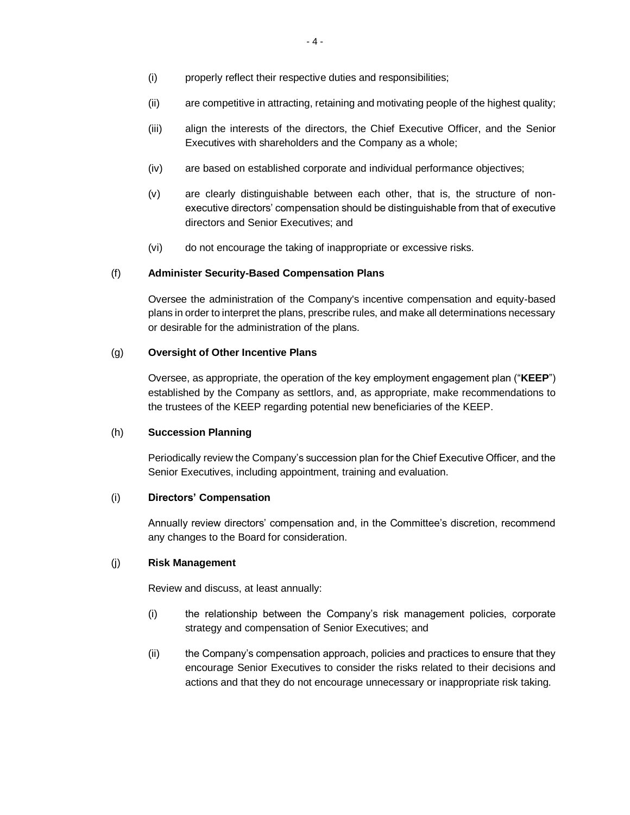- (i) properly reflect their respective duties and responsibilities;
- (ii) are competitive in attracting, retaining and motivating people of the highest quality;
- (iii) align the interests of the directors, the Chief Executive Officer, and the Senior Executives with shareholders and the Company as a whole;
- (iv) are based on established corporate and individual performance objectives;
- (v) are clearly distinguishable between each other, that is, the structure of nonexecutive directors' compensation should be distinguishable from that of executive directors and Senior Executives; and
- (vi) do not encourage the taking of inappropriate or excessive risks.

#### (f) **Administer Security-Based Compensation Plans**

Oversee the administration of the Company's incentive compensation and equity-based plans in order to interpret the plans, prescribe rules, and make all determinations necessary or desirable for the administration of the plans.

#### (g) **Oversight of Other Incentive Plans**

Oversee, as appropriate, the operation of the key employment engagement plan ("**KEEP**") established by the Company as settlors, and, as appropriate, make recommendations to the trustees of the KEEP regarding potential new beneficiaries of the KEEP.

### (h) **Succession Planning**

Periodically review the Company's succession plan for the Chief Executive Officer, and the Senior Executives, including appointment, training and evaluation.

#### (i) **Directors' Compensation**

Annually review directors' compensation and, in the Committee's discretion, recommend any changes to the Board for consideration.

### (j) **Risk Management**

Review and discuss, at least annually:

- (i) the relationship between the Company's risk management policies, corporate strategy and compensation of Senior Executives; and
- (ii) the Company's compensation approach, policies and practices to ensure that they encourage Senior Executives to consider the risks related to their decisions and actions and that they do not encourage unnecessary or inappropriate risk taking.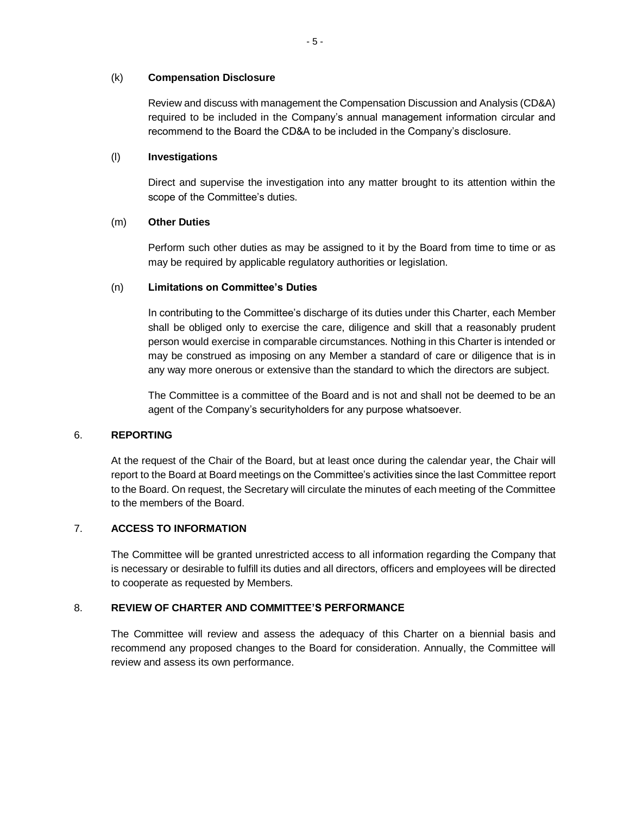### (k) **Compensation Disclosure**

Review and discuss with management the Compensation Discussion and Analysis (CD&A) required to be included in the Company's annual management information circular and recommend to the Board the CD&A to be included in the Company's disclosure.

### (l) **Investigations**

Direct and supervise the investigation into any matter brought to its attention within the scope of the Committee's duties.

## (m) **Other Duties**

Perform such other duties as may be assigned to it by the Board from time to time or as may be required by applicable regulatory authorities or legislation.

## (n) **Limitations on Committee's Duties**

In contributing to the Committee's discharge of its duties under this Charter, each Member shall be obliged only to exercise the care, diligence and skill that a reasonably prudent person would exercise in comparable circumstances. Nothing in this Charter is intended or may be construed as imposing on any Member a standard of care or diligence that is in any way more onerous or extensive than the standard to which the directors are subject.

The Committee is a committee of the Board and is not and shall not be deemed to be an agent of the Company's securityholders for any purpose whatsoever.

## 6. **REPORTING**

At the request of the Chair of the Board, but at least once during the calendar year, the Chair will report to the Board at Board meetings on the Committee's activities since the last Committee report to the Board. On request, the Secretary will circulate the minutes of each meeting of the Committee to the members of the Board.

## 7. **ACCESS TO INFORMATION**

The Committee will be granted unrestricted access to all information regarding the Company that is necessary or desirable to fulfill its duties and all directors, officers and employees will be directed to cooperate as requested by Members.

## 8. **REVIEW OF CHARTER AND COMMITTEE'S PERFORMANCE**

The Committee will review and assess the adequacy of this Charter on a biennial basis and recommend any proposed changes to the Board for consideration. Annually, the Committee will review and assess its own performance.